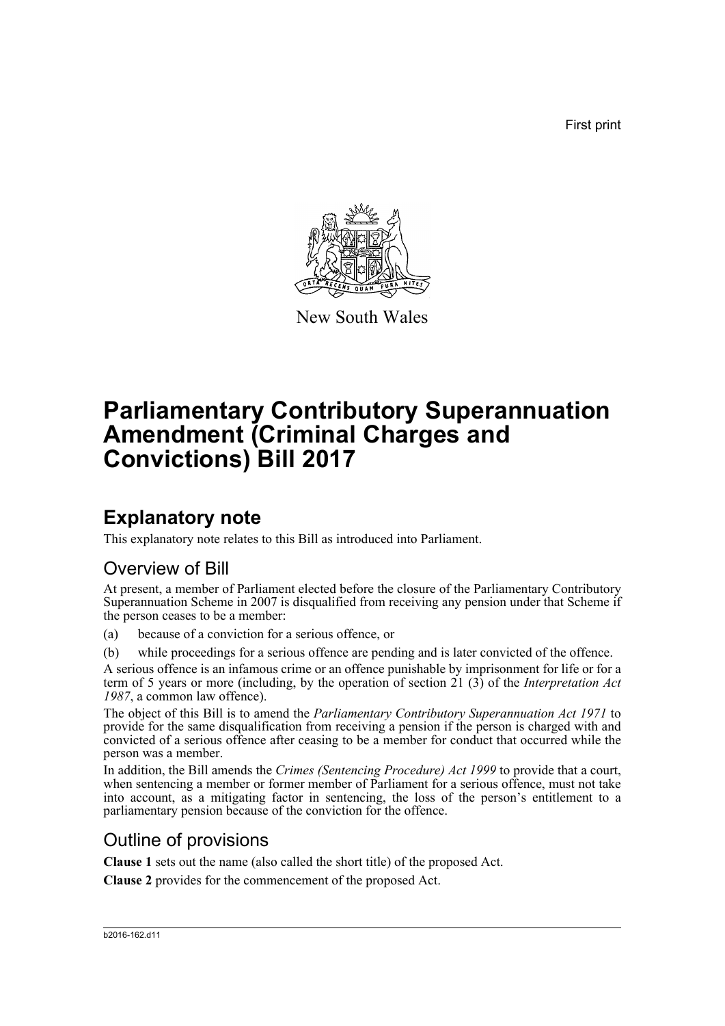First print



New South Wales

# **Parliamentary Contributory Superannuation Amendment (Criminal Charges and Convictions) Bill 2017**

## **Explanatory note**

This explanatory note relates to this Bill as introduced into Parliament.

## Overview of Bill

At present, a member of Parliament elected before the closure of the Parliamentary Contributory Superannuation Scheme in 2007 is disqualified from receiving any pension under that Scheme if the person ceases to be a member:

(a) because of a conviction for a serious offence, or

(b) while proceedings for a serious offence are pending and is later convicted of the offence.

A serious offence is an infamous crime or an offence punishable by imprisonment for life or for a term of 5 years or more (including, by the operation of section 21 (3) of the *Interpretation Act 1987*, a common law offence).

The object of this Bill is to amend the *Parliamentary Contributory Superannuation Act 1971* to provide for the same disqualification from receiving a pension if the person is charged with and convicted of a serious offence after ceasing to be a member for conduct that occurred while the person was a member.

In addition, the Bill amends the *Crimes (Sentencing Procedure) Act 1999* to provide that a court, when sentencing a member or former member of Parliament for a serious offence, must not take into account, as a mitigating factor in sentencing, the loss of the person's entitlement to a parliamentary pension because of the conviction for the offence.

## Outline of provisions

**Clause 1** sets out the name (also called the short title) of the proposed Act.

**Clause 2** provides for the commencement of the proposed Act.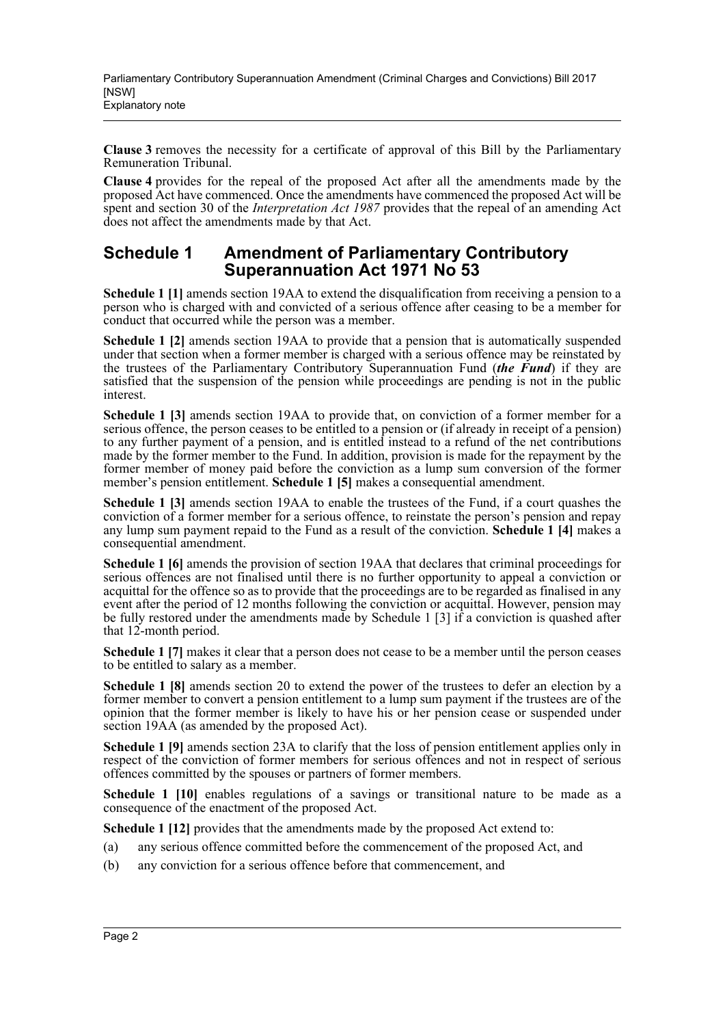**Clause 3** removes the necessity for a certificate of approval of this Bill by the Parliamentary Remuneration Tribunal.

**Clause 4** provides for the repeal of the proposed Act after all the amendments made by the proposed Act have commenced. Once the amendments have commenced the proposed Act will be spent and section 30 of the *Interpretation Act 1987* provides that the repeal of an amending Act does not affect the amendments made by that Act.

### **Schedule 1 Amendment of Parliamentary Contributory Superannuation Act 1971 No 53**

**Schedule 1 [1]** amends section 19AA to extend the disqualification from receiving a pension to a person who is charged with and convicted of a serious offence after ceasing to be a member for conduct that occurred while the person was a member.

**Schedule 1 [2]** amends section 19AA to provide that a pension that is automatically suspended under that section when a former member is charged with a serious offence may be reinstated by the trustees of the Parliamentary Contributory Superannuation Fund (*the Fund*) if they are satisfied that the suspension of the pension while proceedings are pending is not in the public interest.

**Schedule 1 [3]** amends section 19AA to provide that, on conviction of a former member for a serious offence, the person ceases to be entitled to a pension or (if already in receipt of a pension) to any further payment of a pension, and is entitled instead to a refund of the net contributions made by the former member to the Fund. In addition, provision is made for the repayment by the former member of money paid before the conviction as a lump sum conversion of the former member's pension entitlement. **Schedule 1 [5]** makes a consequential amendment.

**Schedule 1 [3]** amends section 19AA to enable the trustees of the Fund, if a court quashes the conviction of a former member for a serious offence, to reinstate the person's pension and repay any lump sum payment repaid to the Fund as a result of the conviction. **Schedule 1 [4]** makes a consequential amendment.

**Schedule 1 [6]** amends the provision of section 19AA that declares that criminal proceedings for serious offences are not finalised until there is no further opportunity to appeal a conviction or acquittal for the offence so as to provide that the proceedings are to be regarded as finalised in any event after the period of 12 months following the conviction or acquittal. However, pension may be fully restored under the amendments made by Schedule 1 [3] if a conviction is quashed after that 12-month period.

**Schedule 1** [7] makes it clear that a person does not cease to be a member until the person ceases to be entitled to salary as a member.

**Schedule 1 [8]** amends section 20 to extend the power of the trustees to defer an election by a former member to convert a pension entitlement to a lump sum payment if the trustees are of the opinion that the former member is likely to have his or her pension cease or suspended under section 19AA (as amended by the proposed Act).

**Schedule 1 [9]** amends section 23A to clarify that the loss of pension entitlement applies only in respect of the conviction of former members for serious offences and not in respect of serious offences committed by the spouses or partners of former members.

**Schedule 1 [10]** enables regulations of a savings or transitional nature to be made as a consequence of the enactment of the proposed Act.

**Schedule 1 [12]** provides that the amendments made by the proposed Act extend to:

- (a) any serious offence committed before the commencement of the proposed Act, and
- (b) any conviction for a serious offence before that commencement, and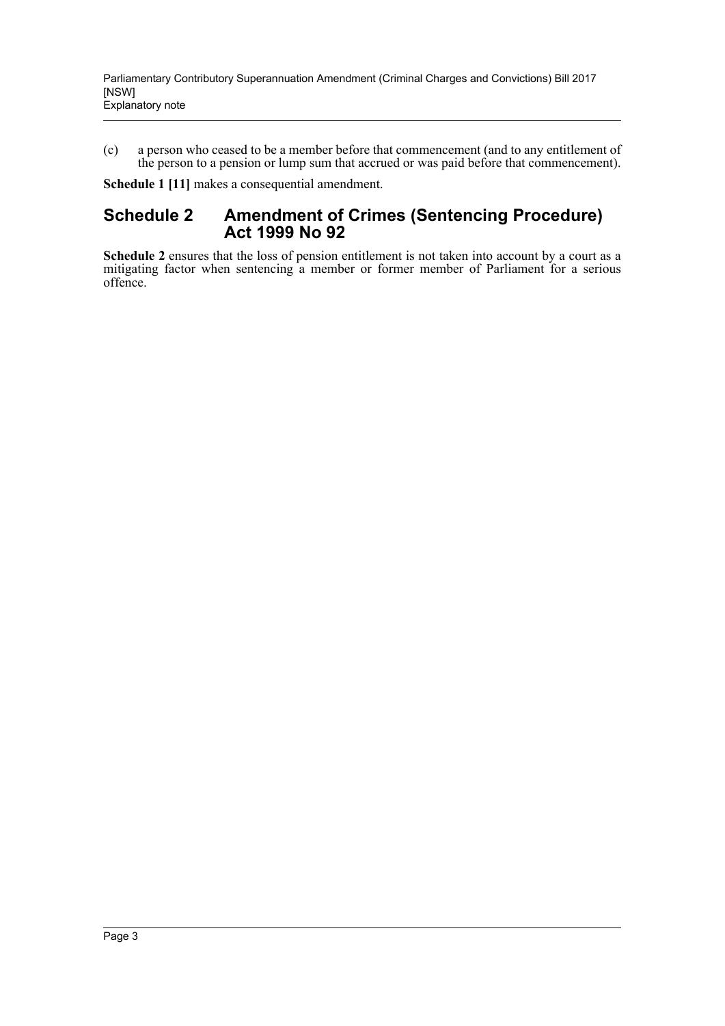(c) a person who ceased to be a member before that commencement (and to any entitlement of the person to a pension or lump sum that accrued or was paid before that commencement).

**Schedule 1 [11]** makes a consequential amendment.

## **Schedule 2 Amendment of Crimes (Sentencing Procedure) Act 1999 No 92**

**Schedule 2** ensures that the loss of pension entitlement is not taken into account by a court as a mitigating factor when sentencing a member or former member of Parliament for a serious offence.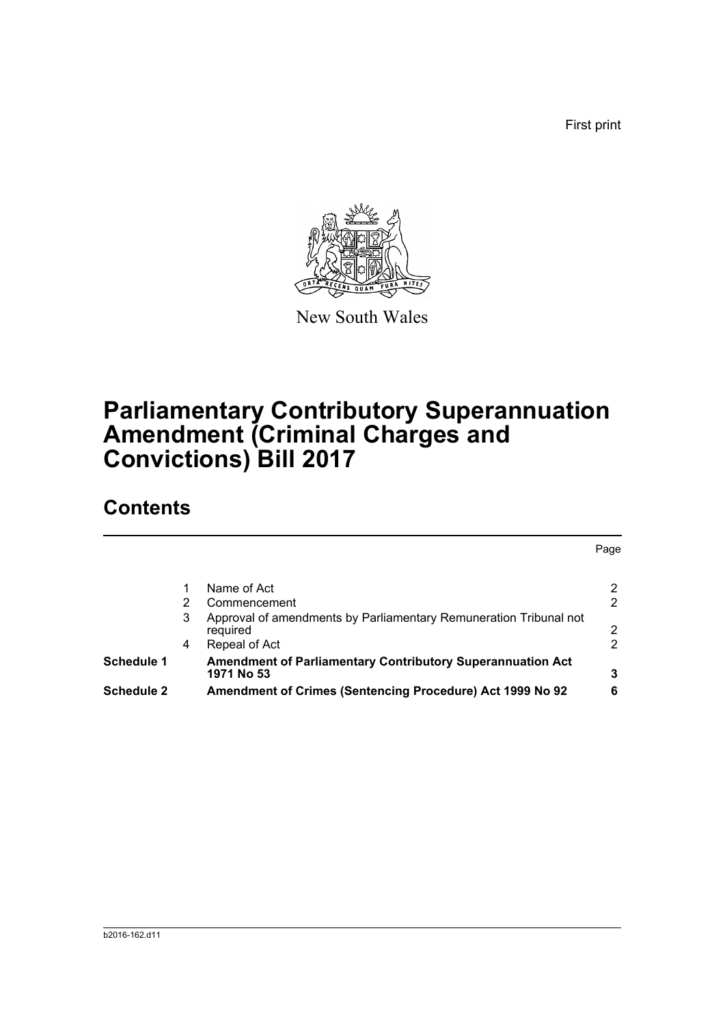First print



New South Wales

# **Parliamentary Contributory Superannuation Amendment (Criminal Charges and Convictions) Bill 2017**

## **Contents**

|                   |   |                                                                                 | Page |
|-------------------|---|---------------------------------------------------------------------------------|------|
|                   |   | Name of Act                                                                     | 2    |
|                   |   | Commencement                                                                    | 2    |
|                   | 3 | Approval of amendments by Parliamentary Remuneration Tribunal not<br>required   | 2    |
|                   | 4 | Repeal of Act                                                                   | 2    |
| <b>Schedule 1</b> |   | <b>Amendment of Parliamentary Contributory Superannuation Act</b><br>1971 No 53 | 3    |
| <b>Schedule 2</b> |   | Amendment of Crimes (Sentencing Procedure) Act 1999 No 92                       | 6    |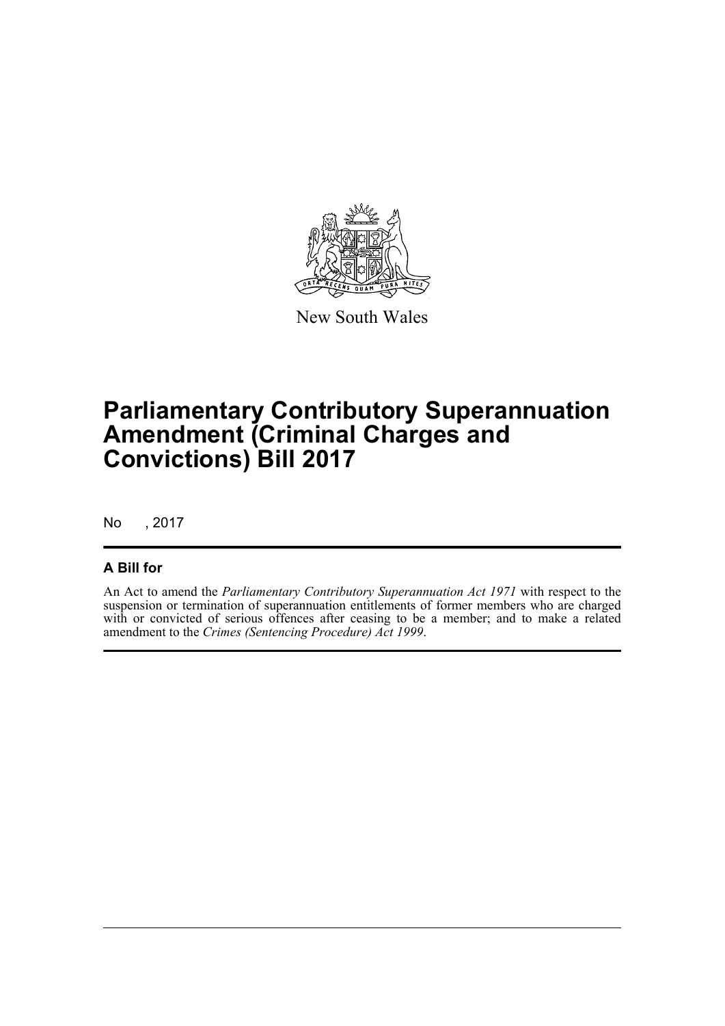

New South Wales

# **Parliamentary Contributory Superannuation Amendment (Criminal Charges and Convictions) Bill 2017**

No , 2017

### **A Bill for**

An Act to amend the *Parliamentary Contributory Superannuation Act 1971* with respect to the suspension or termination of superannuation entitlements of former members who are charged with or convicted of serious offences after ceasing to be a member; and to make a related amendment to the *Crimes (Sentencing Procedure) Act 1999*.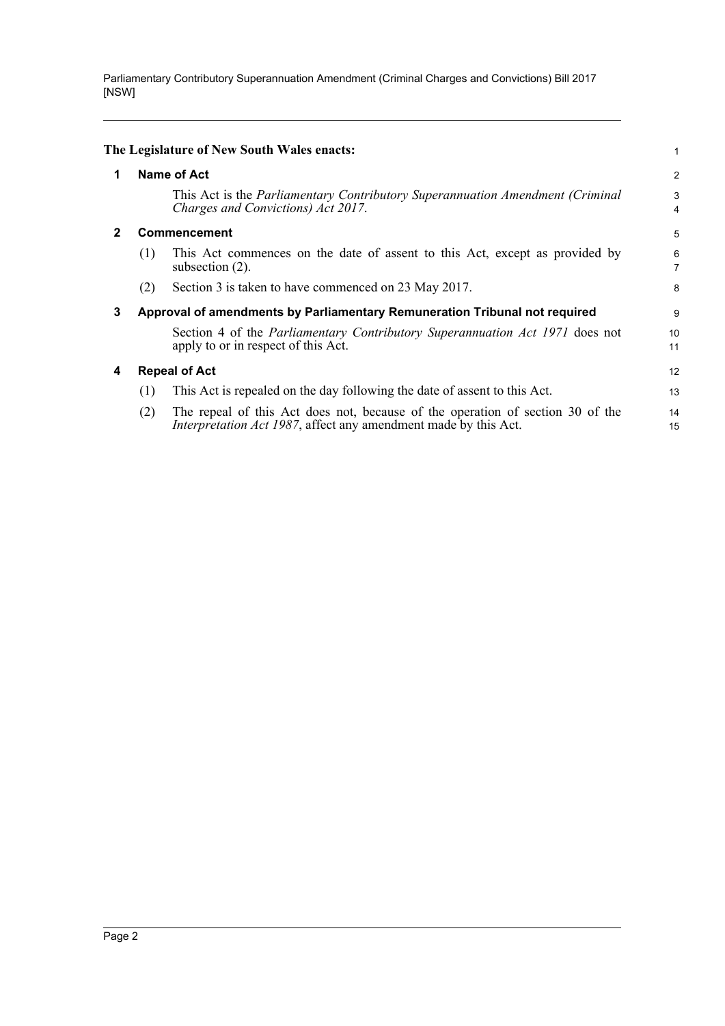Parliamentary Contributory Superannuation Amendment (Criminal Charges and Convictions) Bill 2017 [NSW]

<span id="page-5-3"></span><span id="page-5-2"></span><span id="page-5-1"></span><span id="page-5-0"></span>

|   |                    | The Legislature of New South Wales enacts:                                                                                                                | 1        |  |
|---|--------------------|-----------------------------------------------------------------------------------------------------------------------------------------------------------|----------|--|
| 1 | <b>Name of Act</b> |                                                                                                                                                           |          |  |
|   |                    | This Act is the Parliamentary Contributory Superannuation Amendment (Criminal<br>Charges and Convictions) Act 2017.                                       | 3<br>4   |  |
| 2 | Commencement       |                                                                                                                                                           |          |  |
|   | (1)                | This Act commences on the date of assent to this Act, except as provided by<br>subsection $(2)$ .                                                         | 6<br>7   |  |
|   | (2)                | Section 3 is taken to have commenced on 23 May 2017.                                                                                                      | 8        |  |
| 3 |                    | Approval of amendments by Parliamentary Remuneration Tribunal not required                                                                                |          |  |
|   |                    | Section 4 of the Parliamentary Contributory Superannuation Act 1971 does not<br>apply to or in respect of this Act.                                       | 10<br>11 |  |
| 4 |                    | <b>Repeal of Act</b>                                                                                                                                      | 12       |  |
|   | (1)                | This Act is repealed on the day following the date of assent to this Act.                                                                                 | 13       |  |
|   | (2)                | The repeal of this Act does not, because of the operation of section 30 of the<br><i>Interpretation Act 1987</i> , affect any amendment made by this Act. | 14<br>15 |  |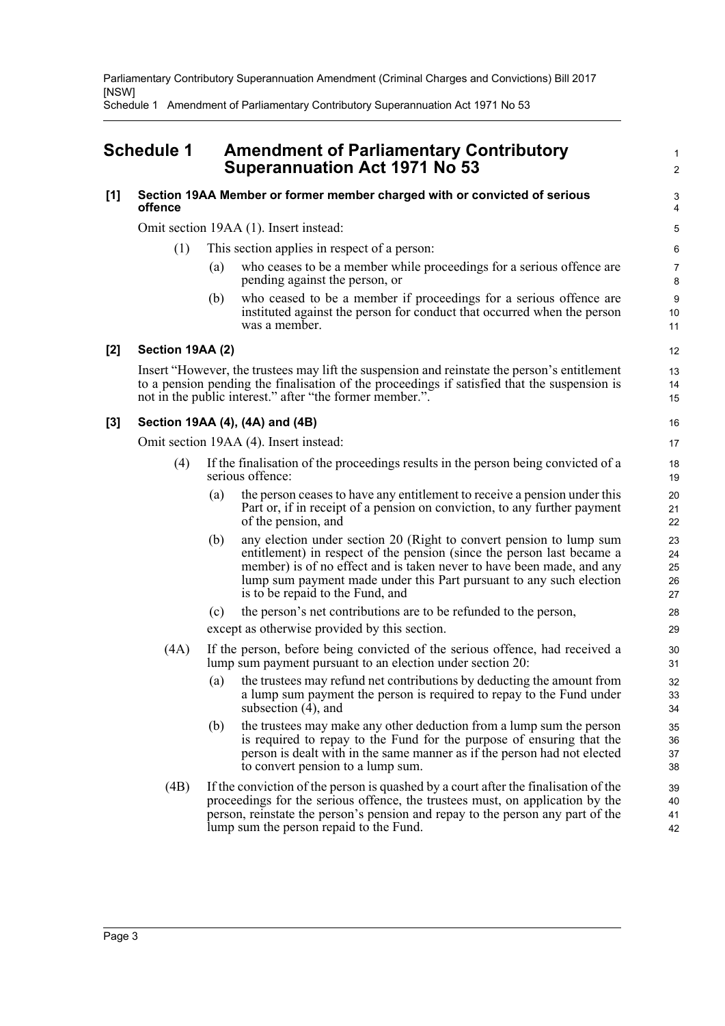Parliamentary Contributory Superannuation Amendment (Criminal Charges and Convictions) Bill 2017 [NSW]

Schedule 1 Amendment of Parliamentary Contributory Superannuation Act 1971 No 53

## <span id="page-6-0"></span>**Schedule 1 Amendment of Parliamentary Contributory Superannuation Act 1971 No 53**

#### **[1] Section 19AA Member or former member charged with or convicted of serious offence**

Omit section 19AA (1). Insert instead:

- (1) This section applies in respect of a person:
	- (a) who ceases to be a member while proceedings for a serious offence are pending against the person, or

1  $\overline{2}$ 

(b) who ceased to be a member if proceedings for a serious offence are instituted against the person for conduct that occurred when the person was a member.

#### **[2] Section 19AA (2)**

Insert "However, the trustees may lift the suspension and reinstate the person's entitlement to a pension pending the finalisation of the proceedings if satisfied that the suspension is not in the public interest." after "the former member.".

#### **[3] Section 19AA (4), (4A) and (4B)**

Omit section 19AA (4). Insert instead:

- (4) If the finalisation of the proceedings results in the person being convicted of a serious offence:
	- (a) the person ceases to have any entitlement to receive a pension under this Part or, if in receipt of a pension on conviction, to any further payment of the pension, and
	- (b) any election under section 20 (Right to convert pension to lump sum entitlement) in respect of the pension (since the person last became a member) is of no effect and is taken never to have been made, and any lump sum payment made under this Part pursuant to any such election is to be repaid to the Fund, and
	- (c) the person's net contributions are to be refunded to the person,

except as otherwise provided by this section.

- (4A) If the person, before being convicted of the serious offence, had received a lump sum payment pursuant to an election under section 20:
	- (a) the trustees may refund net contributions by deducting the amount from a lump sum payment the person is required to repay to the Fund under subsection (4), and
	- (b) the trustees may make any other deduction from a lump sum the person is required to repay to the Fund for the purpose of ensuring that the person is dealt with in the same manner as if the person had not elected to convert pension to a lump sum.
- (4B) If the conviction of the person is quashed by a court after the finalisation of the proceedings for the serious offence, the trustees must, on application by the person, reinstate the person's pension and repay to the person any part of the lump sum the person repaid to the Fund. 39 40 41 42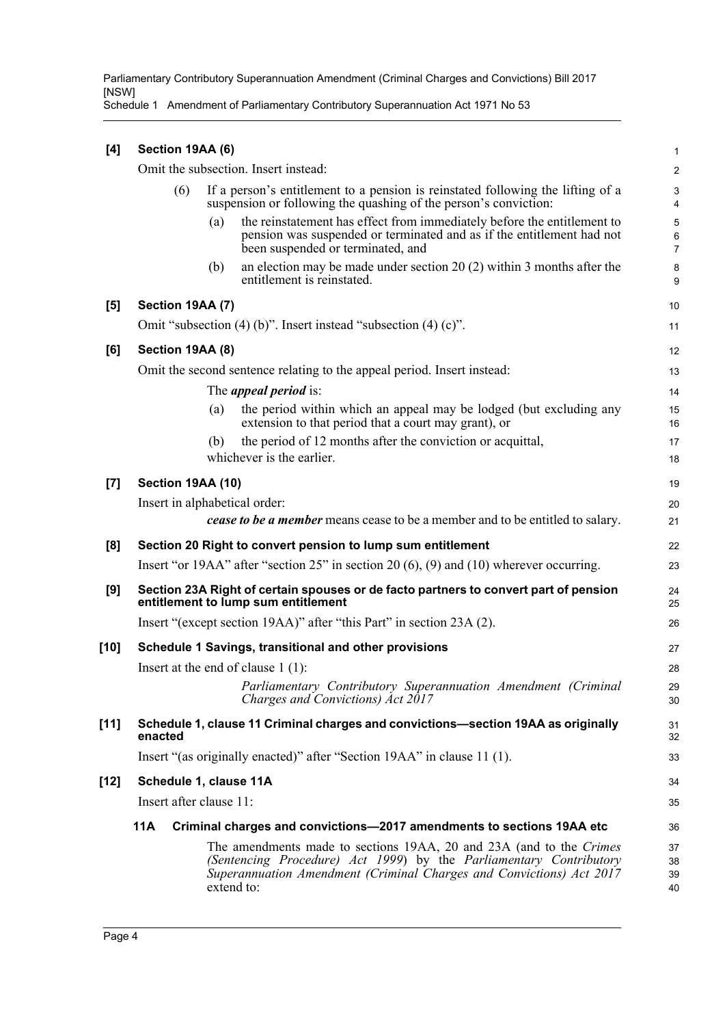Parliamentary Contributory Superannuation Amendment (Criminal Charges and Convictions) Bill 2017 [NSW]

Schedule 1 Amendment of Parliamentary Contributory Superannuation Act 1971 No 53

| [4]    | Section 19AA (6)                     |                         |                                                                                                                                                                                                                                 |                          |  |  |
|--------|--------------------------------------|-------------------------|---------------------------------------------------------------------------------------------------------------------------------------------------------------------------------------------------------------------------------|--------------------------|--|--|
|        | Omit the subsection. Insert instead: |                         |                                                                                                                                                                                                                                 |                          |  |  |
|        |                                      | (6)                     | If a person's entitlement to a pension is reinstated following the lifting of a<br>suspension or following the quashing of the person's conviction:                                                                             | 3<br>$\overline{4}$      |  |  |
|        |                                      | (a)                     | the reinstatement has effect from immediately before the entitlement to<br>pension was suspended or terminated and as if the entitlement had not<br>been suspended or terminated, and                                           | 5<br>6<br>$\overline{7}$ |  |  |
|        |                                      | (b)                     | an election may be made under section 20 $(2)$ within 3 months after the<br>entitlement is reinstated.                                                                                                                          | 8<br>9                   |  |  |
| [5]    |                                      | Section 19AA (7)        |                                                                                                                                                                                                                                 | 10                       |  |  |
|        |                                      |                         | Omit "subsection $(4)$ (b)". Insert instead "subsection $(4)$ (c)".                                                                                                                                                             | 11                       |  |  |
| [6]    |                                      | Section 19AA (8)        |                                                                                                                                                                                                                                 | 12                       |  |  |
|        |                                      |                         | Omit the second sentence relating to the appeal period. Insert instead:                                                                                                                                                         | 13                       |  |  |
|        |                                      |                         | The <i>appeal period</i> is:                                                                                                                                                                                                    | 14                       |  |  |
|        |                                      | (a)                     | the period within which an appeal may be lodged (but excluding any<br>extension to that period that a court may grant), or                                                                                                      | 15<br>16                 |  |  |
|        |                                      | (b)                     | the period of 12 months after the conviction or acquittal,                                                                                                                                                                      | 17                       |  |  |
|        |                                      |                         | whichever is the earlier.                                                                                                                                                                                                       | 18                       |  |  |
| [7]    |                                      | Section 19AA (10)       |                                                                                                                                                                                                                                 | 19                       |  |  |
|        |                                      |                         | Insert in alphabetical order:                                                                                                                                                                                                   | 20                       |  |  |
|        |                                      |                         | <b>cease to be a member</b> means cease to be a member and to be entitled to salary.                                                                                                                                            | 21                       |  |  |
| [8]    |                                      |                         | Section 20 Right to convert pension to lump sum entitlement                                                                                                                                                                     | 22                       |  |  |
|        |                                      |                         | Insert "or 19AA" after "section $25$ " in section 20 (6), (9) and (10) wherever occurring.                                                                                                                                      | 23                       |  |  |
| [9]    |                                      |                         | Section 23A Right of certain spouses or de facto partners to convert part of pension<br>entitlement to lump sum entitlement                                                                                                     | 24<br>25                 |  |  |
|        |                                      |                         | Insert "(except section 19AA)" after "this Part" in section 23A (2).                                                                                                                                                            | 26                       |  |  |
| [10]   |                                      |                         | Schedule 1 Savings, transitional and other provisions                                                                                                                                                                           | 27                       |  |  |
|        |                                      |                         | Insert at the end of clause $1(1)$ :                                                                                                                                                                                            | 28                       |  |  |
|        |                                      |                         | Parliamentary Contributory Superannuation Amendment (Criminal<br>Charges and Convictions) Act 2017                                                                                                                              | 29<br>30                 |  |  |
| $[11]$ | enacted                              |                         | Schedule 1, clause 11 Criminal charges and convictions-section 19AA as originally                                                                                                                                               | 31<br>32                 |  |  |
|        |                                      |                         | Insert "(as originally enacted)" after "Section 19AA" in clause 11 (1).                                                                                                                                                         | 33                       |  |  |
| [12]   |                                      | Schedule 1, clause 11A  |                                                                                                                                                                                                                                 | 34                       |  |  |
|        |                                      | Insert after clause 11: |                                                                                                                                                                                                                                 | 35                       |  |  |
|        | <b>11A</b>                           |                         | Criminal charges and convictions-2017 amendments to sections 19AA etc                                                                                                                                                           | 36                       |  |  |
|        |                                      |                         | The amendments made to sections 19AA, 20 and 23A (and to the Crimes<br>(Sentencing Procedure) Act 1999) by the Parliamentary Contributory<br>Superannuation Amendment (Criminal Charges and Convictions) Act 2017<br>extend to: | 37<br>38<br>39<br>40     |  |  |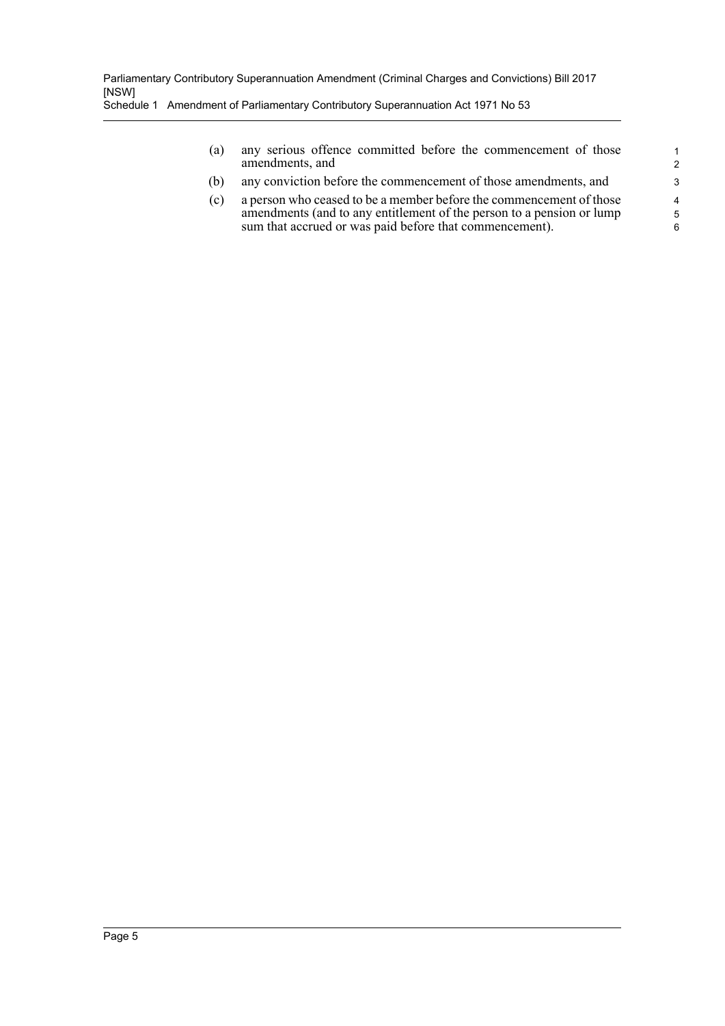(a) any serious offence committed before the commencement of those amendments, and

- (b) any conviction before the commencement of those amendments, and
- (c) a person who ceased to be a member before the commencement of those amendments (and to any entitlement of the person to a pension or lump sum that accrued or was paid before that commencement).